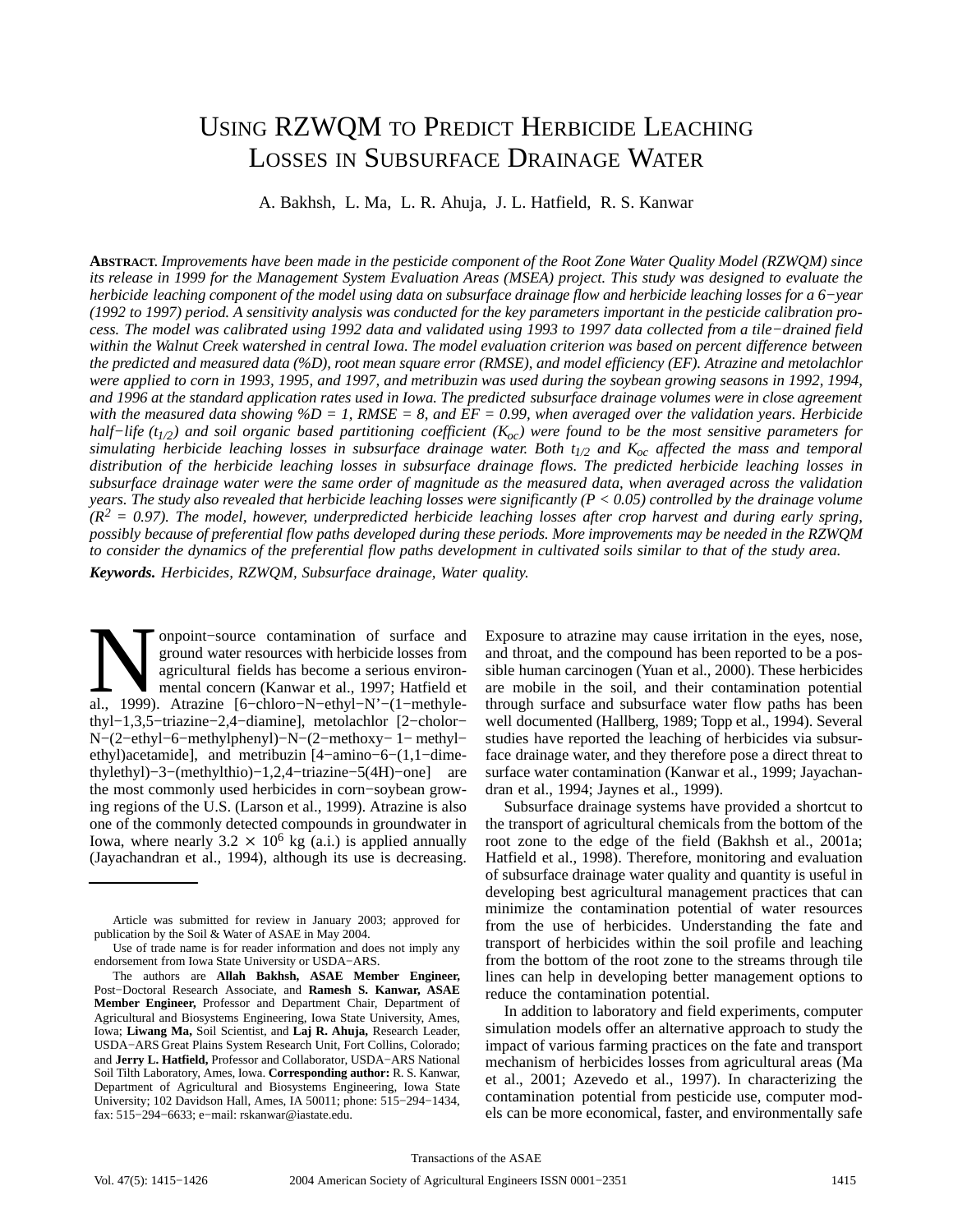# USING RZWQM TO PREDICT HERBICIDE LEACHING LOSSES IN SUBSURFACE DRAINAGE WATER

A. Bakhsh, L. Ma, L. R. Ahuja, J. L. Hatfield, R. S. Kanwar

**ABSTRACT.** *Improvements have been made in the pesticide component of the Root Zone Water Quality Model (RZWQM) since its release in 1999 for the Management System Evaluation Areas (MSEA) project. This study was designed to evaluate the herbicide leaching component of the model using data on subsurface drainage flow and herbicide leaching losses for a 6−year (1992 to 1997) period. A sensitivity analysis was conducted for the key parameters important in the pesticide calibration process. The model was calibrated using 1992 data and validated using 1993 to 1997 data collected from a tile−drained field within the Walnut Creek watershed in central Iowa. The model evaluation criterion was based on percent difference between the predicted and measured data (%D), root mean square error (RMSE), and model efficiency (EF). Atrazine and metolachlor were applied to corn in 1993, 1995, and 1997, and metribuzin was used during the soybean growing seasons in 1992, 1994, and 1996 at the standard application rates used in Iowa. The predicted subsurface drainage volumes were in close agreement with the measured data showing %D = 1, RMSE = 8, and EF = 0.99, when averaged over the validation years. Herbicide half-life (t<sub>1/2</sub>) and soil organic based partitioning coefficient (K<sub>oc</sub>) were found to be the most sensitive parameters for simulating herbicide leaching losses in subsurface drainage water. Both t1/2 and Koc affected the mass and temporal distribution of the herbicide leaching losses in subsurface drainage flows. The predicted herbicide leaching losses in subsurface drainage water were the same order of magnitude as the measured data, when averaged across the validation years. The study also revealed that herbicide leaching losses were significantly (P < 0.05) controlled by the drainage volume (R2 = 0.97). The model, however, underpredicted herbicide leaching losses after crop harvest and during early spring, possibly because of preferential flow paths developed during these periods. More improvements may be needed in the RZWQM to consider the dynamics of the preferential flow paths development in cultivated soils similar to that of the study area.*

*Keywords. Herbicides, RZWQM, Subsurface drainage, Water quality.*

onpoint−source contamination of surface and ground water resources with herbicide losses from agricultural fields has become a serious environmental concern (Kanwar et al., 1997; Hatfield et all., 1999). Atrazine [6−chloro−N−ethyl−N'−(1−methyle-1−methyle-1−methyle-1−methyle-1−methyle-1−methyle-1−methyle-1−methyle-1−methyle-1−methyle-1−methyle-1−methyle-1−methyle-1−methyle-1−methyle-1−methyle-1−methyle-1−methy thyl−1,3,5−triazine−2,4−diamine], metolachlor [2−cholor− N−(2−ethyl−6−methylphenyl)−N−(2−methoxy − 1− methyl− ethyl)acetamide], and metribuzin [4−amino−6−(1,1−dimethylethyl)−3−(methylthio)−1,2,4−triazine−5(4H)−one] are the most commonly used herbicides in corn−soybean growing regions of the U.S. (Larson et al., 1999). Atrazine is also one of the commonly detected compounds in groundwater in Iowa, where nearly  $3.2 \times 10^6$  kg (a.i.) is applied annually (Jayachandran et al., 1994), although its use is decreasing.

Exposure to atrazine may cause irritation in the eyes, nose, and throat, and the compound has been reported to be a possible human carcinogen (Yuan et al., 2000). These herbicides are mobile in the soil, and their contamination potential through surface and subsurface water flow paths has been well documented (Hallberg, 1989; Topp et al., 1994). Several studies have reported the leaching of herbicides via subsurface drainage water, and they therefore pose a direct threat to surface water contamination (Kanwar et al., 1999; Jayachandran et al., 1994; Jaynes et al., 1999).

Subsurface drainage systems have provided a shortcut to the transport of agricultural chemicals from the bottom of the root zone to the edge of the field (Bakhsh et al., 2001a; Hatfield et al., 1998). Therefore, monitoring and evaluation of subsurface drainage water quality and quantity is useful in developing best agricultural management practices that can minimize the contamination potential of water resources from the use of herbicides. Understanding the fate and transport of herbicides within the soil profile and leaching from the bottom of the root zone to the streams through tile lines can help in developing better management options to reduce the contamination potential.

In addition to laboratory and field experiments, computer simulation models offer an alternative approach to study the impact of various farming practices on the fate and transport mechanism of herbicides losses from agricultural areas (Ma et al., 2001; Azevedo et al., 1997). In characterizing the contamination potential from pesticide use, computer models can be more economical, faster, and environmentally safe

Transactions of the ASAE

Article was submitted for review in January 2003; approved for publication by the Soil & Water of ASAE in May 2004.

Use of trade name is for reader information and does not imply any endorsement from Iowa State University or USDA−ARS.

The authors are **Allah Bakhsh, ASAE Member Engineer,** Post−Doctoral Research Associate, and **Ramesh S. Kanwar, ASAE Member Engineer,** Professor and Department Chair, Department of Agricultural and Biosystems Engineering, Iowa State University, Ames, Iowa; **Liwang Ma,** Soil Scientist, and **Laj R. Ahuja,** Research Leader, USDA−ARS Great Plains System Research Unit, Fort Collins, Colorado; and **Jerry L. Hatfield,** Professor and Collaborator, USDA−ARS National Soil Tilth Laboratory, Ames, Iowa. **Corresponding author:** R. S. Kanwar, Department of Agricultural and Biosystems Engineering, Iowa State University; 102 Davidson Hall, Ames, IA 50011; phone: 515−294−1434, fax: 515−294−6633; e−mail: rskanwar@iastate.edu.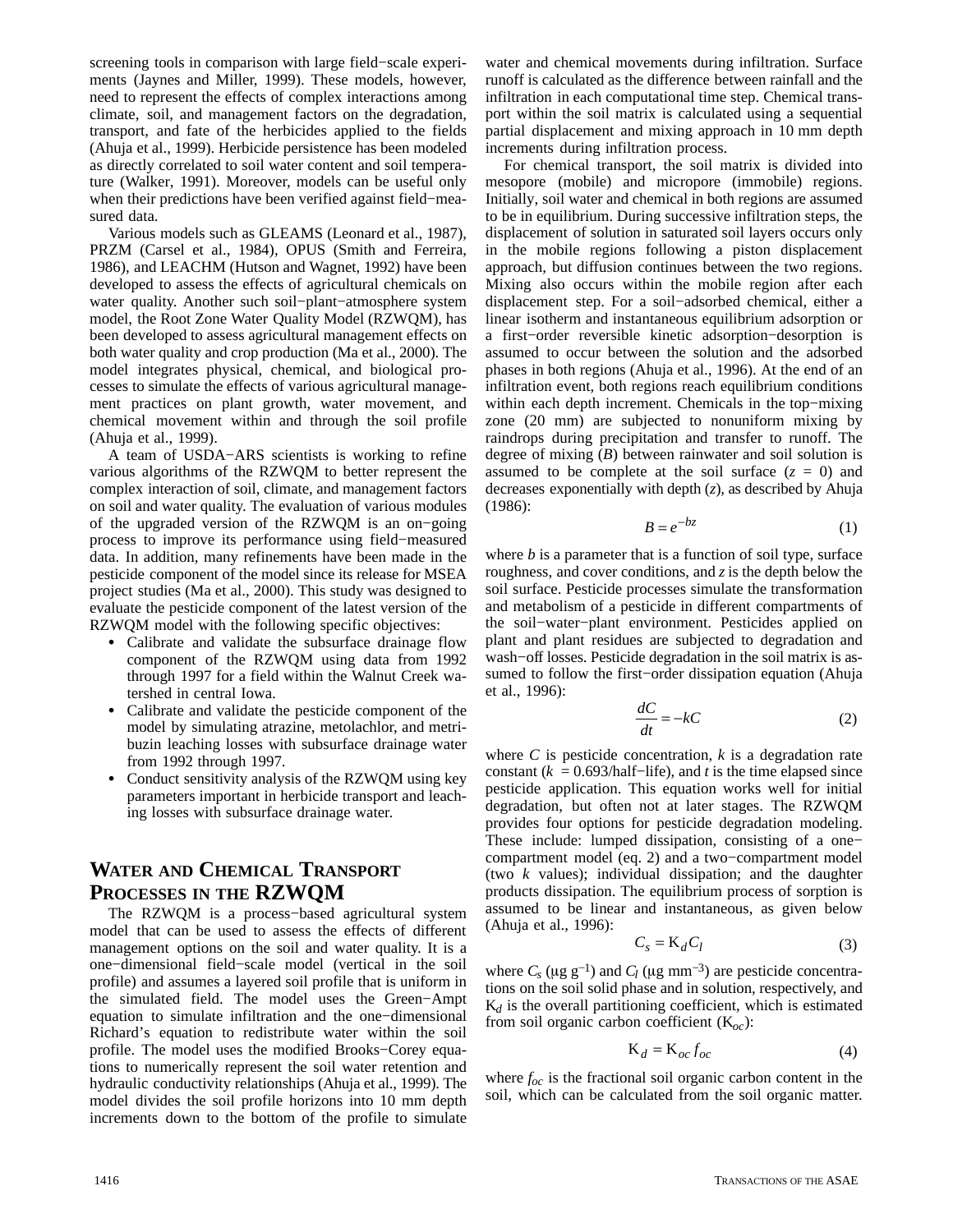screening tools in comparison with large field−scale experiments (Jaynes and Miller, 1999). These models, however, need to represent the effects of complex interactions among climate, soil, and management factors on the degradation, transport, and fate of the herbicides applied to the fields (Ahuja et al., 1999). Herbicide persistence has been modeled as directly correlated to soil water content and soil temperature (Walker, 1991). Moreover, models can be useful only when their predictions have been verified against field−measured data.

Various models such as GLEAMS (Leonard et al., 1987), PRZM (Carsel et al., 1984), OPUS (Smith and Ferreira, 1986), and LEACHM (Hutson and Wagnet, 1992) have been developed to assess the effects of agricultural chemicals on water quality. Another such soil−plant−atmosphere system model, the Root Zone Water Quality Model (RZWQM), has been developed to assess agricultural management effects on both water quality and crop production (Ma et al., 2000). The model integrates physical, chemical, and biological processes to simulate the effects of various agricultural management practices on plant growth, water movement, and chemical movement within and through the soil profile (Ahuja et al., 1999).

A team of USDA−ARS scientists is working to refine various algorithms of the RZWQM to better represent the complex interaction of soil, climate, and management factors on soil and water quality. The evaluation of various modules of the upgraded version of the RZWQM is an on−going process to improve its performance using field−measured data. In addition, many refinements have been made in the pesticide component of the model since its release for MSEA project studies (Ma et al., 2000). This study was designed to evaluate the pesticide component of the latest version of the RZWQM model with the following specific objectives:

- Calibrate and validate the subsurface drainage flow component of the RZWQM using data from 1992 through 1997 for a field within the Walnut Creek watershed in central Iowa.
- $\bullet$  Calibrate and validate the pesticide component of the model by simulating atrazine, metolachlor, and metribuzin leaching losses with subsurface drainage water from 1992 through 1997.
- $\bullet$  Conduct sensitivity analysis of the RZWQM using key parameters important in herbicide transport and leaching losses with subsurface drainage water.

# **WATER AND CHEMICAL TRANSPORT PROCESSES IN THE RZWQM**

The RZWQM is a process−based agricultural system model that can be used to assess the effects of different management options on the soil and water quality. It is a one−dimensional field−scale model (vertical in the soil profile) and assumes a layered soil profile that is uniform in the simulated field. The model uses the Green−Ampt equation to simulate infiltration and the one−dimensional Richard's equation to redistribute water within the soil profile. The model uses the modified Brooks−Corey equations to numerically represent the soil water retention and hydraulic conductivity relationships (Ahuja et al., 1999). The model divides the soil profile horizons into 10 mm depth increments down to the bottom of the profile to simulate

water and chemical movements during infiltration. Surface runoff is calculated as the difference between rainfall and the infiltration in each computational time step. Chemical transport within the soil matrix is calculated using a sequential partial displacement and mixing approach in 10 mm depth increments during infiltration process.

For chemical transport, the soil matrix is divided into mesopore (mobile) and micropore (immobile) regions. Initially, soil water and chemical in both regions are assumed to be in equilibrium. During successive infiltration steps, the displacement of solution in saturated soil layers occurs only in the mobile regions following a piston displacement approach, but diffusion continues between the two regions. Mixing also occurs within the mobile region after each displacement step. For a soil−adsorbed chemical, either a linear isotherm and instantaneous equilibrium adsorption or a first−order reversible kinetic adsorption−desorption is assumed to occur between the solution and the adsorbed phases in both regions (Ahuja et al., 1996). At the end of an infiltration event, both regions reach equilibrium conditions within each depth increment. Chemicals in the top−mixing zone (20 mm) are subjected to nonuniform mixing by raindrops during precipitation and transfer to runoff. The degree of mixing (*B*) between rainwater and soil solution is assumed to be complete at the soil surface  $(z = 0)$  and decreases exponentially with depth (*z*), as described by Ahuja (1986):

$$
B = e^{-bz} \tag{1}
$$

where *b* is a parameter that is a function of soil type, surface roughness, and cover conditions, and *z* is the depth below the soil surface. Pesticide processes simulate the transformation and metabolism of a pesticide in different compartments of the soil−water−plant environment. Pesticides applied on plant and plant residues are subjected to degradation and wash−off losses. Pesticide degradation in the soil matrix is assumed to follow the first−order dissipation equation (Ahuja et al., 1996):

$$
\frac{dC}{dt} = -kC\tag{2}
$$

where *C* is pesticide concentration, *k* is a degradation rate constant  $(k = 0.693/half-life)$ , and *t* is the time elapsed since pesticide application. This equation works well for initial degradation, but often not at later stages. The RZWQM provides four options for pesticide degradation modeling. These include: lumped dissipation, consisting of a one− compartment model (eq. 2) and a two−compartment model (two *k* values); individual dissipation; and the daughter products dissipation. The equilibrium process of sorption is assumed to be linear and instantaneous, as given below (Ahuja et al., 1996):

$$
C_s = \mathbf{K}_d C_l \tag{3}
$$

where  $C_s$  ( $\mu$ g g<sup>-1</sup>) and  $C_l$  ( $\mu$ g mm<sup>-3</sup>) are pesticide concentrations on the soil solid phase and in solution, respectively, and K*d* is the overall partitioning coefficient, which is estimated from soil organic carbon coefficient (K*oc*):

$$
\mathbf{K}_d = \mathbf{K}_{oc} f_{oc} \tag{4}
$$

where  $f_{oc}$  is the fractional soil organic carbon content in the soil, which can be calculated from the soil organic matter.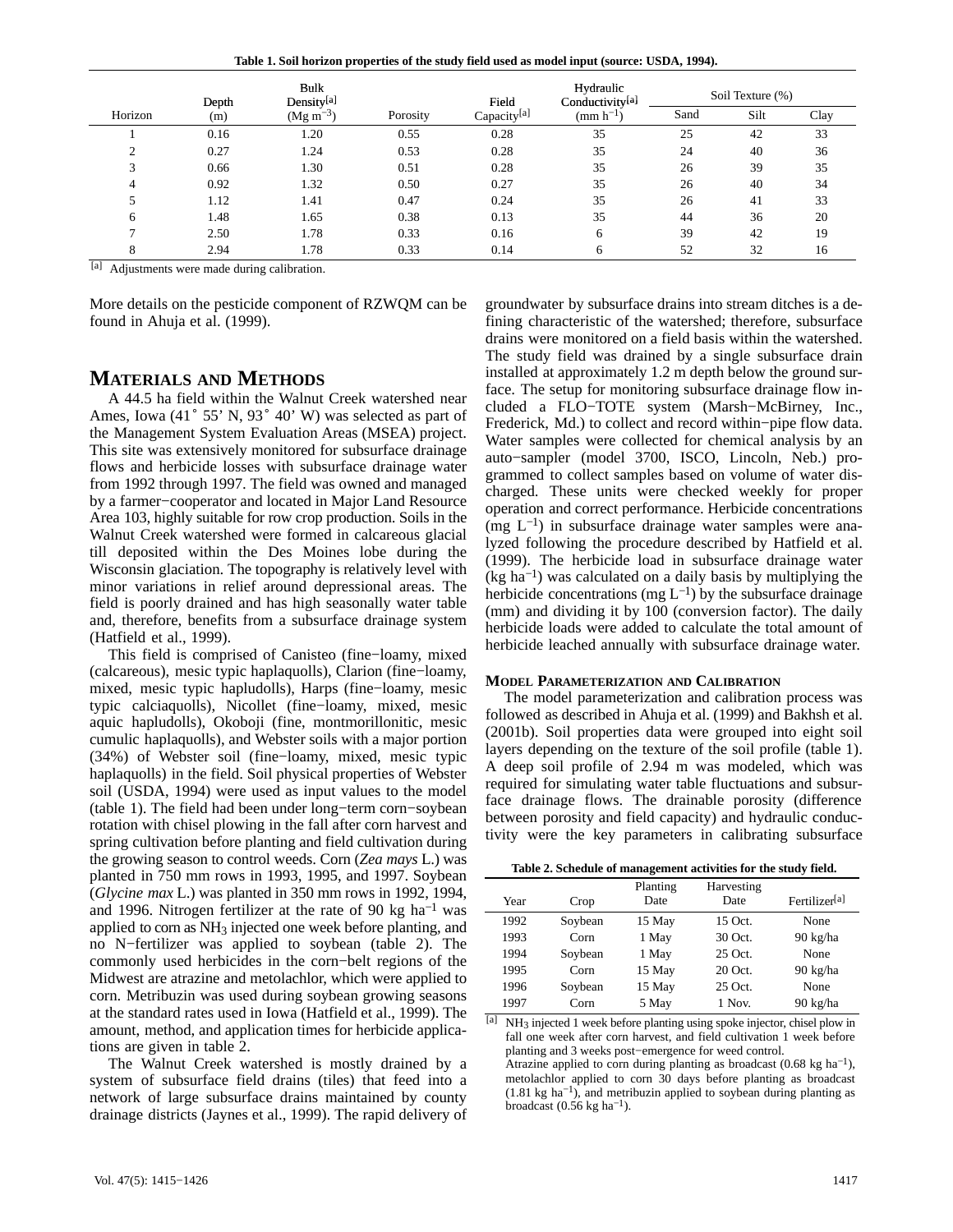**Table 1. Soil horizon properties of the study field used as model input (source: USDA, 1994).**

|                         | Depth | Bulk<br>Density <sup>[a]</sup> |          | Field                   | Hydraulic<br>Conductivity <sup>[a]</sup> | Soil Texture (%) |      |      |
|-------------------------|-------|--------------------------------|----------|-------------------------|------------------------------------------|------------------|------|------|
| Horizon                 | (m)   | $(Mg\ m^{-3})$                 | Porosity | Capacity <sup>[a]</sup> | $(mm h^{-1})$                            | Sand             | Silt | Clay |
|                         | 0.16  | 1.20                           | 0.55     | 0.28                    | 35                                       | 25               | 42   | 33   |
| ◠                       | 0.27  | 1.24                           | 0.53     | 0.28                    | 35                                       | 24               | 40   | 36   |
| $\overline{\mathbf{a}}$ | 0.66  | 1.30                           | 0.51     | 0.28                    | 35                                       | 26               | 39   | 35   |
| 4                       | 0.92  | 1.32                           | 0.50     | 0.27                    | 35                                       | 26               | 40   | 34   |
|                         | 1.12  | 1.41                           | 0.47     | 0.24                    | 35                                       | 26               | 41   | 33   |
| 6                       | 1.48  | 1.65                           | 0.38     | 0.13                    | 35                                       | 44               | 36   | 20   |
|                         | 2.50  | 1.78                           | 0.33     | 0.16                    | 6                                        | 39               | 42   | 19   |
| $\circ$<br>Ω            | 2.94  | 1.78                           | 0.33     | 0.14                    | 6                                        | 52               | 32   | 16   |

[a] Adjustments were made during calibration.

More details on the pesticide component of RZWQM can be found in Ahuja et al. (1999).

### **MATERIALS AND METHODS**

A 44.5 ha field within the Walnut Creek watershed near Ames, Iowa (41° 55' N, 93° 40' W) was selected as part of the Management System Evaluation Areas (MSEA) project. This site was extensively monitored for subsurface drainage flows and herbicide losses with subsurface drainage water from 1992 through 1997. The field was owned and managed by a farmer−cooperator and located in Major Land Resource Area 103, highly suitable for row crop production. Soils in the Walnut Creek watershed were formed in calcareous glacial till deposited within the Des Moines lobe during the Wisconsin glaciation. The topography is relatively level with minor variations in relief around depressional areas. The field is poorly drained and has high seasonally water table and, therefore, benefits from a subsurface drainage system (Hatfield et al., 1999).

This field is comprised of Canisteo (fine−loamy, mixed (calcareous), mesic typic haplaquolls), Clarion (fine−loamy, mixed, mesic typic hapludolls), Harps (fine−loamy, mesic typic calciaquolls), Nicollet (fine−loamy, mixed, mesic aquic hapludolls), Okoboji (fine, montmorillonitic, mesic cumulic haplaquolls), and Webster soils with a major portion (34%) of Webster soil (fine−loamy, mixed, mesic typic haplaquolls) in the field. Soil physical properties of Webster soil (USDA, 1994) were used as input values to the model (table 1). The field had been under long−term corn−soybean rotation with chisel plowing in the fall after corn harvest and spring cultivation before planting and field cultivation during the growing season to control weeds. Corn (*Zea mays* L.) was planted in 750 mm rows in 1993, 1995, and 1997. Soybean (*Glycine max* L.) was planted in 350 mm rows in 1992, 1994, and 1996. Nitrogen fertilizer at the rate of 90 kg ha−1 was applied to corn as NH<sub>3</sub> injected one week before planting, and no N−fertilizer was applied to soybean (table 2). The commonly used herbicides in the corn−belt regions of the Midwest are atrazine and metolachlor, which were applied to corn. Metribuzin was used during soybean growing seasons at the standard rates used in Iowa (Hatfield et al., 1999). The amount, method, and application times for herbicide applications are given in table 2.

The Walnut Creek watershed is mostly drained by a system of subsurface field drains (tiles) that feed into a network of large subsurface drains maintained by county drainage districts (Jaynes et al., 1999). The rapid delivery of

groundwater by subsurface drains into stream ditches is a defining characteristic of the watershed; therefore, subsurface drains were monitored on a field basis within the watershed. The study field was drained by a single subsurface drain installed at approximately 1.2 m depth below the ground surface. The setup for monitoring subsurface drainage flow included a FLO−TOTE system (Marsh−McBirney, Inc., Frederick, Md.) to collect and record within−pipe flow data. Water samples were collected for chemical analysis by an auto−sampler (model 3700, ISCO, Lincoln, Neb.) programmed to collect samples based on volume of water discharged. These units were checked weekly for proper operation and correct performance. Herbicide concentrations (mg  $L^{-1}$ ) in subsurface drainage water samples were analyzed following the procedure described by Hatfield et al. (1999). The herbicide load in subsurface drainage water (kg ha−1) was calculated on a daily basis by multiplying the herbicide concentrations (mg  $L^{-1}$ ) by the subsurface drainage (mm) and dividing it by 100 (conversion factor). The daily herbicide loads were added to calculate the total amount of herbicide leached annually with subsurface drainage water.

#### **MODEL PARAMETERIZATION AND CALIBRATION**

The model parameterization and calibration process was followed as described in Ahuja et al. (1999) and Bakhsh et al. (2001b). Soil properties data were grouped into eight soil layers depending on the texture of the soil profile (table 1). A deep soil profile of 2.94 m was modeled, which was required for simulating water table fluctuations and subsurface drainage flows. The drainable porosity (difference between porosity and field capacity) and hydraulic conductivity were the key parameters in calibrating subsurface

| Table 2. Schedule of management activities for the study field. |  |  |  |
|-----------------------------------------------------------------|--|--|--|
|-----------------------------------------------------------------|--|--|--|

| Year | Crop    | Planting<br>Date | Harvesting<br>Date | Fertilizer <sup>[a]</sup> |
|------|---------|------------------|--------------------|---------------------------|
|      |         |                  |                    |                           |
| 1992 | Soybean | 15 May           | 15 Oct.            | None                      |
| 1993 | Corn    | 1 May            | 30 Oct.            | 90 kg/ha                  |
| 1994 | Soybean | 1 May            | $25$ Oct.          | None                      |
| 1995 | Corn    | 15 May           | $20$ Oct.          | 90 kg/ha                  |
| 1996 | Soybean | 15 May           | $25$ Oct.          | None                      |
| 1997 | Corn    | 5 May            | 1 Nov.             | 90 kg/ha                  |

[a] NH<sub>3</sub> injected 1 week before planting using spoke injector, chisel plow in fall one week after corn harvest, and field cultivation 1 week before planting and 3 weeks post−emergence for weed control. Atrazine applied to corn during planting as broadcast (0.68 kg ha−1), metolachlor applied to corn 30 days before planting as broadcast (1.81 kg ha−1), and metribuzin applied to soybean during planting as broadcast (0.56 kg ha<sup>-1</sup>).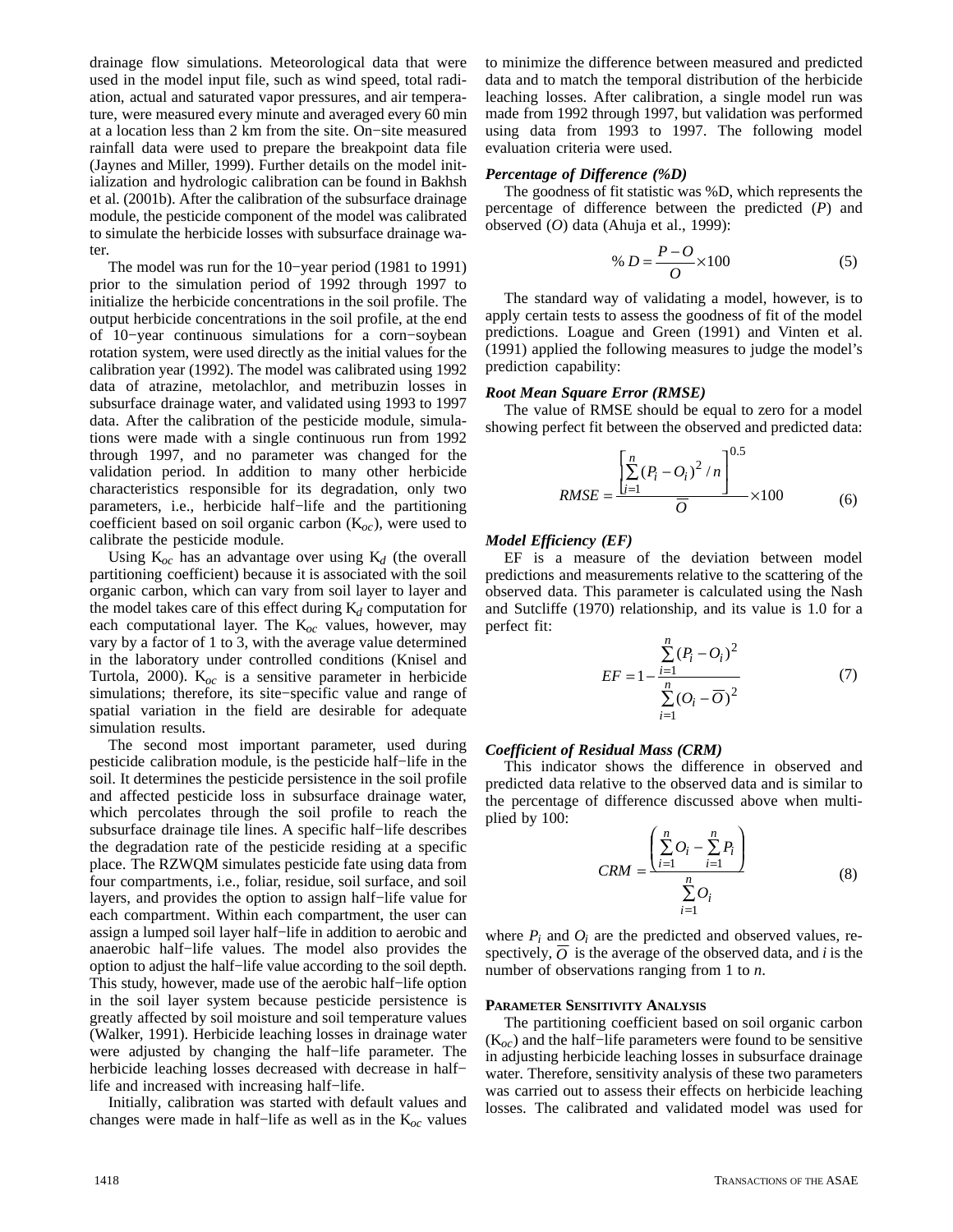drainage flow simulations. Meteorological data that were used in the model input file, such as wind speed, total radiation, actual and saturated vapor pressures, and air temperature, were measured every minute and averaged every 60 min at a location less than 2 km from the site. On−site measured rainfall data were used to prepare the breakpoint data file (Jaynes and Miller, 1999). Further details on the model initialization and hydrologic calibration can be found in Bakhsh et al. (2001b). After the calibration of the subsurface drainage module, the pesticide component of the model was calibrated to simulate the herbicide losses with subsurface drainage water.

The model was run for the 10−year period (1981 to 1991) prior to the simulation period of 1992 through 1997 to initialize the herbicide concentrations in the soil profile. The output herbicide concentrations in the soil profile, at the end of 10−year continuous simulations for a corn−soybean rotation system, were used directly as the initial values for the calibration year (1992). The model was calibrated using 1992 data of atrazine, metolachlor, and metribuzin losses in subsurface drainage water, and validated using 1993 to 1997 data. After the calibration of the pesticide module, simulations were made with a single continuous run from 1992 through 1997, and no parameter was changed for the validation period. In addition to many other herbicide characteristics responsible for its degradation, only two parameters, i.e., herbicide half−life and the partitioning coefficient based on soil organic carbon (K*oc*), were used to calibrate the pesticide module.

Using  $K_{oc}$  has an advantage over using  $K_d$  (the overall partitioning coefficient) because it is associated with the soil organic carbon, which can vary from soil layer to layer and the model takes care of this effect during K*d* computation for each computational layer. The K*oc* values, however, may vary by a factor of 1 to 3, with the average value determined in the laboratory under controlled conditions (Knisel and Turtola, 2000). K*oc* is a sensitive parameter in herbicide simulations; therefore, its site−specific value and range of spatial variation in the field are desirable for adequate simulation results.

The second most important parameter, used during pesticide calibration module, is the pesticide half−life in the soil. It determines the pesticide persistence in the soil profile and affected pesticide loss in subsurface drainage water, which percolates through the soil profile to reach the subsurface drainage tile lines. A specific half−life describes the degradation rate of the pesticide residing at a specific place. The RZWQM simulates pesticide fate using data from four compartments, i.e., foliar, residue, soil surface, and soil layers, and provides the option to assign half−life value for each compartment. Within each compartment, the user can assign a lumped soil layer half−life in addition to aerobic and anaerobic half−life values. The model also provides the option to adjust the half−life value according to the soil depth. This study, however, made use of the aerobic half−life option in the soil layer system because pesticide persistence is greatly affected by soil moisture and soil temperature values (Walker, 1991). Herbicide leaching losses in drainage water were adjusted by changing the half−life parameter. The herbicide leaching losses decreased with decrease in half− life and increased with increasing half−life.

Initially, calibration was started with default values and changes were made in half−life as well as in the K*oc* values to minimize the difference between measured and predicted data and to match the temporal distribution of the herbicide leaching losses. After calibration, a single model run was made from 1992 through 1997, but validation was performed using data from 1993 to 1997. The following model evaluation criteria were used.

#### *Percentage of Difference (%D)*

The goodness of fit statistic was %D, which represents the percentage of difference between the predicted (*P*) and observed (*O*) data (Ahuja et al., 1999):

% 
$$
D = \frac{P - O}{O} \times 100
$$
 (5)

The standard way of validating a model, however, is to apply certain tests to assess the goodness of fit of the model predictions. Loague and Green (1991) and Vinten et al. (1991) applied the following measures to judge the model's prediction capability:

#### *Root Mean Square Error (RMSE)*

The value of RMSE should be equal to zero for a model showing perfect fit between the observed and predicted data:

$$
RMSE = \frac{\left[\sum_{i=1}^{n} (P_i - O_i)^2 / n\right]^{0.5}}{\overline{O}} \times 100
$$
 (6)

#### *Model Efficiency (EF)*

EF is a measure of the deviation between model predictions and measurements relative to the scattering of the observed data. This parameter is calculated using the Nash and Sutcliffe (1970) relationship, and its value is 1.0 for a perfect fit:

$$
EF = 1 - \frac{\sum_{i=1}^{n} (P_i - O_i)^2}{\sum_{i=1}^{n} (O_i - \overline{O})^2}
$$
 (7)

#### *Coefficient of Residual Mass (CRM)*

This indicator shows the difference in observed and predicted data relative to the observed data and is similar to the percentage of difference discussed above when multiplied by 100:

$$
CRM = \frac{\left(\sum_{i=1}^{n} O_i - \sum_{i=1}^{n} P_i\right)}{\sum_{i=1}^{n} O_i}
$$
\n(8)

where  $P_i$  and  $O_i$  are the predicted and observed values, respectively,  $\overline{O}$  is the average of the observed data, and *i* is the number of observations ranging from 1 to *n*.

#### **PARAMETER SENSITIVITY ANALYSIS**

The partitioning coefficient based on soil organic carbon (K*oc*) and the half−life parameters were found to be sensitive in adjusting herbicide leaching losses in subsurface drainage water. Therefore, sensitivity analysis of these two parameters was carried out to assess their effects on herbicide leaching losses. The calibrated and validated model was used for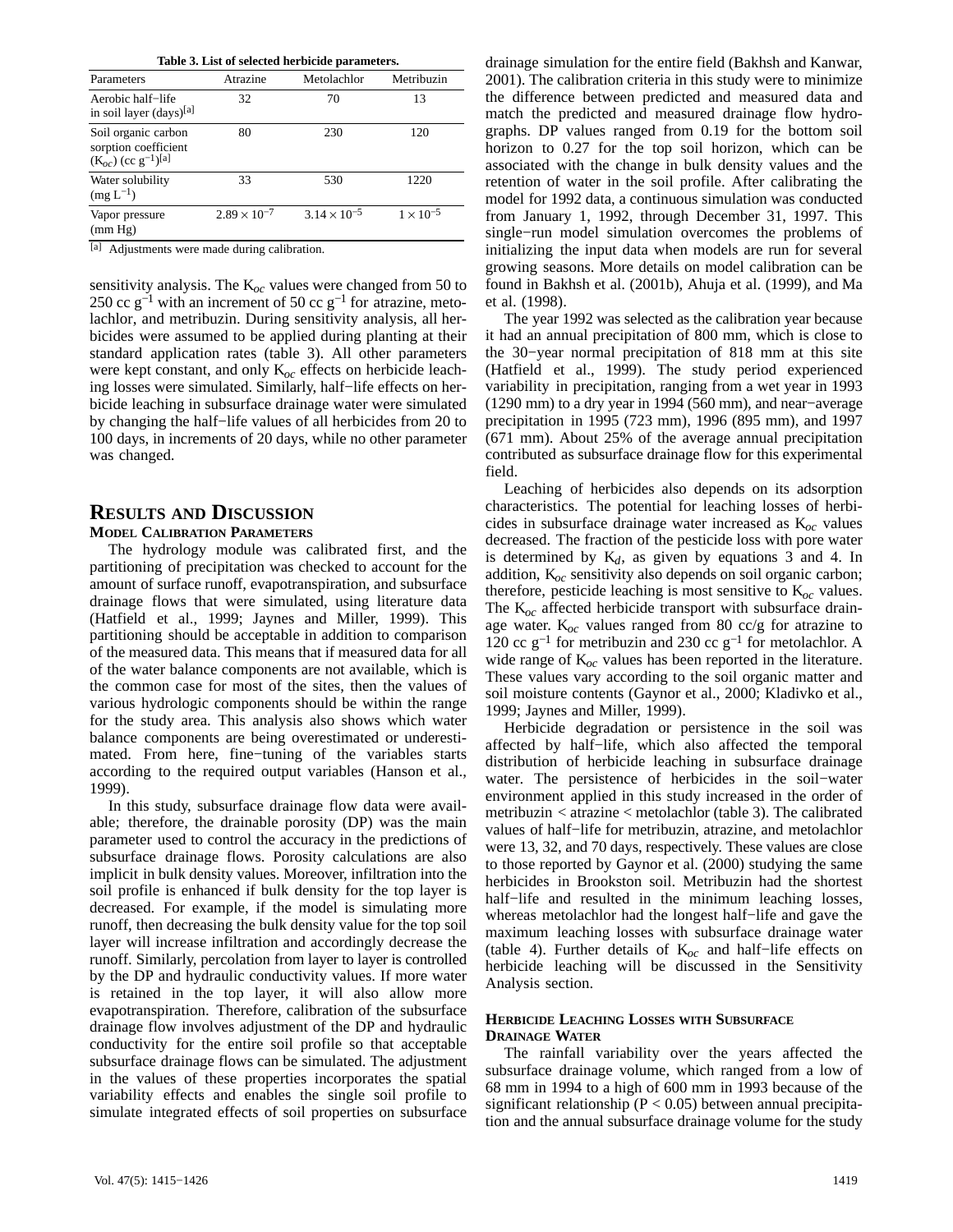| Parameters                                                                                     | Atrazine              | Metolachlor           | Metribuzin         |
|------------------------------------------------------------------------------------------------|-----------------------|-----------------------|--------------------|
| Aerobic half-life<br>in soil layer (days)[a]                                                   | 32                    | 70                    | 13                 |
| Soil organic carbon<br>sorption coefficient<br>$(K_{oc})$ (cc g <sup>-1</sup> ) <sup>[a]</sup> | 80                    | 230                   | 120                |
| Water solubility<br>$(mg L^{-1})$                                                              | 33                    | 530                   | 1220               |
| Vapor pressure<br>(mm Hg)                                                                      | $2.89 \times 10^{-7}$ | $3.14 \times 10^{-5}$ | $1 \times 10^{-5}$ |

[a] Adjustments were made during calibration.

sensitivity analysis. The K*oc* values were changed from 50 to 250 cc g<sup>-1</sup> with an increment of 50 cc g<sup>-1</sup> for atrazine, metolachlor, and metribuzin. During sensitivity analysis, all herbicides were assumed to be applied during planting at their standard application rates (table 3). All other parameters were kept constant, and only K*oc* effects on herbicide leaching losses were simulated. Similarly, half−life effects on herbicide leaching in subsurface drainage water were simulated by changing the half−life values of all herbicides from 20 to 100 days, in increments of 20 days, while no other parameter was changed.

## **RESULTS AND DISCUSSION**

#### **MODEL CALIBRATION PARAMETERS**

The hydrology module was calibrated first, and the partitioning of precipitation was checked to account for the amount of surface runoff, evapotranspiration, and subsurface drainage flows that were simulated, using literature data (Hatfield et al., 1999; Jaynes and Miller, 1999). This partitioning should be acceptable in addition to comparison of the measured data. This means that if measured data for all of the water balance components are not available, which is the common case for most of the sites, then the values of various hydrologic components should be within the range for the study area. This analysis also shows which water balance components are being overestimated or underestimated. From here, fine−tuning of the variables starts according to the required output variables (Hanson et al., 1999).

In this study, subsurface drainage flow data were available; therefore, the drainable porosity (DP) was the main parameter used to control the accuracy in the predictions of subsurface drainage flows. Porosity calculations are also implicit in bulk density values. Moreover, infiltration into the soil profile is enhanced if bulk density for the top layer is decreased. For example, if the model is simulating more runoff, then decreasing the bulk density value for the top soil layer will increase infiltration and accordingly decrease the runoff. Similarly, percolation from layer to layer is controlled by the DP and hydraulic conductivity values. If more water is retained in the top layer, it will also allow more evapotranspiration. Therefore, calibration of the subsurface drainage flow involves adjustment of the DP and hydraulic conductivity for the entire soil profile so that acceptable subsurface drainage flows can be simulated. The adjustment in the values of these properties incorporates the spatial variability effects and enables the single soil profile to simulate integrated effects of soil properties on subsurface

drainage simulation for the entire field (Bakhsh and Kanwar, 2001). The calibration criteria in this study were to minimize the difference between predicted and measured data and match the predicted and measured drainage flow hydrographs. DP values ranged from 0.19 for the bottom soil horizon to 0.27 for the top soil horizon, which can be associated with the change in bulk density values and the retention of water in the soil profile. After calibrating the model for 1992 data, a continuous simulation was conducted from January 1, 1992, through December 31, 1997. This single−run model simulation overcomes the problems of initializing the input data when models are run for several growing seasons. More details on model calibration can be found in Bakhsh et al. (2001b), Ahuja et al. (1999), and Ma et al. (1998).

The year 1992 was selected as the calibration year because it had an annual precipitation of 800 mm, which is close to the 30−year normal precipitation of 818 mm at this site (Hatfield et al., 1999). The study period experienced variability in precipitation, ranging from a wet year in 1993 (1290 mm) to a dry year in 1994 (560 mm), and near−average precipitation in 1995 (723 mm), 1996 (895 mm), and 1997 (671 mm). About 25% of the average annual precipitation contributed as subsurface drainage flow for this experimental field.

Leaching of herbicides also depends on its adsorption characteristics. The potential for leaching losses of herbicides in subsurface drainage water increased as K*oc* values decreased. The fraction of the pesticide loss with pore water is determined by  $K_d$ , as given by equations 3 and 4. In addition, K*oc* sensitivity also depends on soil organic carbon; therefore, pesticide leaching is most sensitive to K*oc* values. The K*oc* affected herbicide transport with subsurface drainage water. K*oc* values ranged from 80 cc/g for atrazine to 120 cc g<sup>-1</sup> for metribuzin and 230 cc g<sup>-1</sup> for metolachlor. A wide range of K*oc* values has been reported in the literature. These values vary according to the soil organic matter and soil moisture contents (Gaynor et al., 2000; Kladivko et al., 1999; Jaynes and Miller, 1999).

Herbicide degradation or persistence in the soil was affected by half−life, which also affected the temporal distribution of herbicide leaching in subsurface drainage water. The persistence of herbicides in the soil−water environment applied in this study increased in the order of metribuzin < atrazine < metolachlor (table 3). The calibrated values of half−life for metribuzin, atrazine, and metolachlor were 13, 32, and 70 days, respectively. These values are close to those reported by Gaynor et al. (2000) studying the same herbicides in Brookston soil. Metribuzin had the shortest half−life and resulted in the minimum leaching losses, whereas metolachlor had the longest half−life and gave the maximum leaching losses with subsurface drainage water (table 4). Further details of K*oc* and half−life effects on herbicide leaching will be discussed in the Sensitivity Analysis section.

#### **HERBICIDE LEACHING LOSSES WITH SUBSURFACE DRAINAGE WATER**

The rainfall variability over the years affected the subsurface drainage volume, which ranged from a low of 68 mm in 1994 to a high of 600 mm in 1993 because of the significant relationship ( $P < 0.05$ ) between annual precipitation and the annual subsurface drainage volume for the study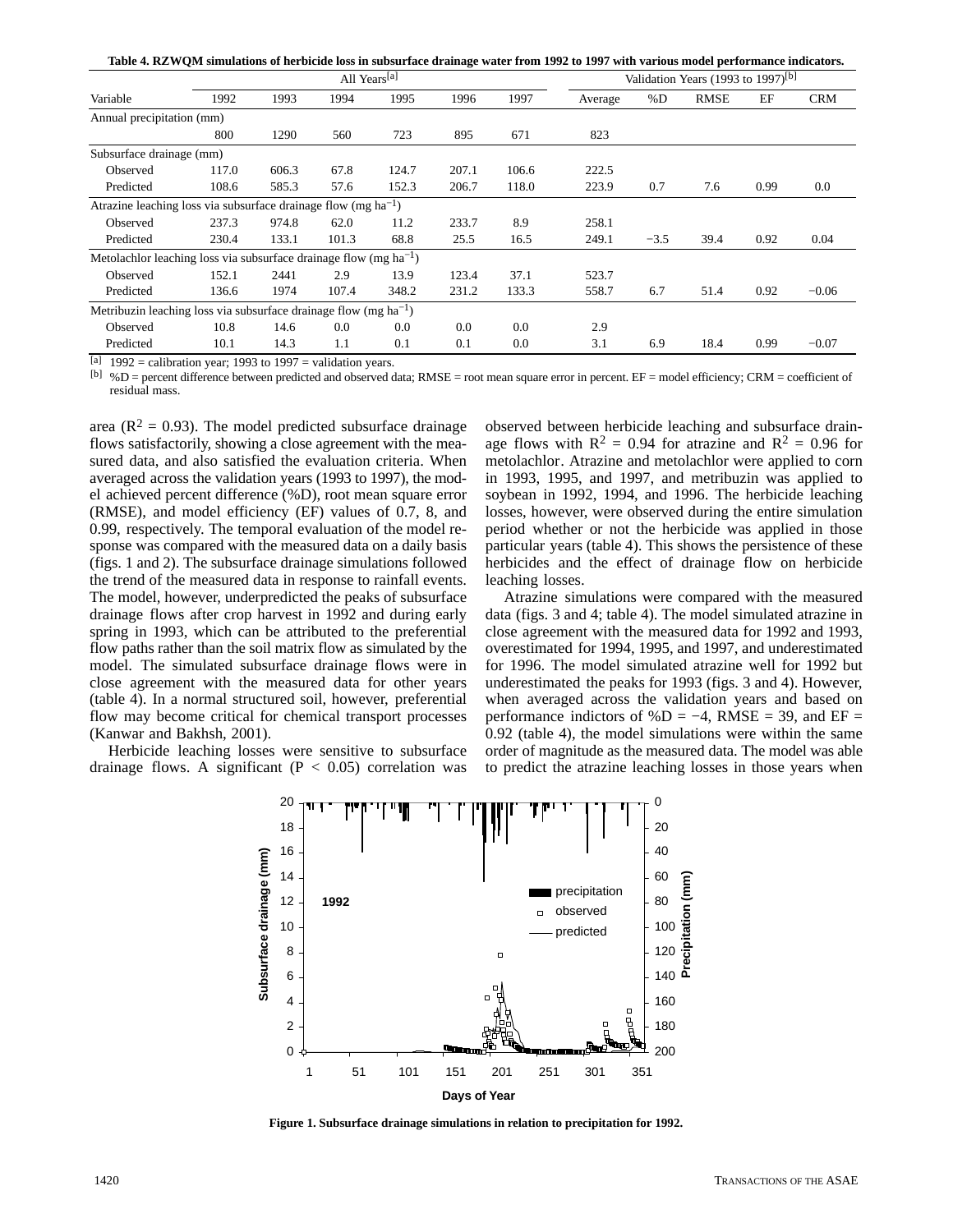**Table 4. RZWQM simulations of herbicide loss in subsurface drainage water from 1992 to 1997 with various model performance indicators.**

|                                                                        | All Years <sup>[a]</sup> |       |       |       |       | Validation Years (1993 to 1997) <sup>[b]</sup> |         |        |             |      |            |
|------------------------------------------------------------------------|--------------------------|-------|-------|-------|-------|------------------------------------------------|---------|--------|-------------|------|------------|
| Variable                                                               | 1992                     | 1993  | 1994  | 1995  | 1996  | 1997                                           | Average | %D     | <b>RMSE</b> | EF   | <b>CRM</b> |
| Annual precipitation (mm)                                              |                          |       |       |       |       |                                                |         |        |             |      |            |
|                                                                        | 800                      | 1290  | 560   | 723   | 895   | 671                                            | 823     |        |             |      |            |
| Subsurface drainage (mm)                                               |                          |       |       |       |       |                                                |         |        |             |      |            |
| Observed                                                               | 117.0                    | 606.3 | 67.8  | 124.7 | 207.1 | 106.6                                          | 222.5   |        |             |      |            |
| Predicted                                                              | 108.6                    | 585.3 | 57.6  | 152.3 | 206.7 | 118.0                                          | 223.9   | 0.7    | 7.6         | 0.99 | 0.0        |
| Atrazine leaching loss via subsurface drainage flow (mg $ha^{-1}$ )    |                          |       |       |       |       |                                                |         |        |             |      |            |
| Observed                                                               | 237.3                    | 974.8 | 62.0  | 11.2  | 233.7 | 8.9                                            | 258.1   |        |             |      |            |
| Predicted                                                              | 230.4                    | 133.1 | 101.3 | 68.8  | 25.5  | 16.5                                           | 249.1   | $-3.5$ | 39.4        | 0.92 | 0.04       |
| Metolachlor leaching loss via subsurface drainage flow (mg $ha^{-1}$ ) |                          |       |       |       |       |                                                |         |        |             |      |            |
| Observed                                                               | 152.1                    | 2441  | 2.9   | 13.9  | 123.4 | 37.1                                           | 523.7   |        |             |      |            |
| Predicted                                                              | 136.6                    | 1974  | 107.4 | 348.2 | 231.2 | 133.3                                          | 558.7   | 6.7    | 51.4        | 0.92 | $-0.06$    |
| Metribuzin leaching loss via subsurface drainage flow (mg $ha^{-1}$ )  |                          |       |       |       |       |                                                |         |        |             |      |            |
| Observed                                                               | 10.8                     | 14.6  | 0.0   | 0.0   | 0.0   | 0.0                                            | 2.9     |        |             |      |            |
| Predicted                                                              | 10.1                     | 14.3  | 1.1   | 0.1   | 0.1   | 0.0                                            | 3.1     | 6.9    | 18.4        | 0.99 | $-0.07$    |

<sup>[a]</sup> 1992 = calibration year; 1993 to 1997 = validation years.<br><sup>[b]</sup> %D = percent difference between predicted and observed c

[b] %D = percent difference between predicted and observed data; RMSE = root mean square error in percent. EF = model efficiency; CRM = coefficient of residual mass.

area ( $\mathbb{R}^2 = 0.93$ ). The model predicted subsurface drainage flows satisfactorily, showing a close agreement with the measured data, and also satisfied the evaluation criteria. When averaged across the validation years (1993 to 1997), the model achieved percent difference (%D), root mean square error (RMSE), and model efficiency (EF) values of 0.7, 8, and 0.99, respectively. The temporal evaluation of the model response was compared with the measured data on a daily basis (figs. 1 and 2). The subsurface drainage simulations followed the trend of the measured data in response to rainfall events. The model, however, underpredicted the peaks of subsurface drainage flows after crop harvest in 1992 and during early spring in 1993, which can be attributed to the preferential flow paths rather than the soil matrix flow as simulated by the model. The simulated subsurface drainage flows were in close agreement with the measured data for other years (table 4). In a normal structured soil, however, preferential flow may become critical for chemical transport processes (Kanwar and Bakhsh, 2001).

Herbicide leaching losses were sensitive to subsurface drainage flows. A significant  $(P < 0.05)$  correlation was observed between herbicide leaching and subsurface drainage flows with  $R^2 = 0.94$  for atrazine and  $R^2 = 0.96$  for metolachlor. Atrazine and metolachlor were applied to corn in 1993, 1995, and 1997, and metribuzin was applied to soybean in 1992, 1994, and 1996. The herbicide leaching losses, however, were observed during the entire simulation period whether or not the herbicide was applied in those particular years (table 4). This shows the persistence of these herbicides and the effect of drainage flow on herbicide leaching losses.

Atrazine simulations were compared with the measured data (figs. 3 and 4; table 4). The model simulated atrazine in close agreement with the measured data for 1992 and 1993, overestimated for 1994, 1995, and 1997, and underestimated for 1996. The model simulated atrazine well for 1992 but underestimated the peaks for 1993 (figs. 3 and 4). However, when averaged across the validation years and based on performance indictors of %D =  $-4$ , RMSE = 39, and EF = 0.92 (table 4), the model simulations were within the same order of magnitude as the measured data. The model was able to predict the atrazine leaching losses in those years when



**Figure 1. Subsurface drainage simulations in relation to precipitation for 1992.**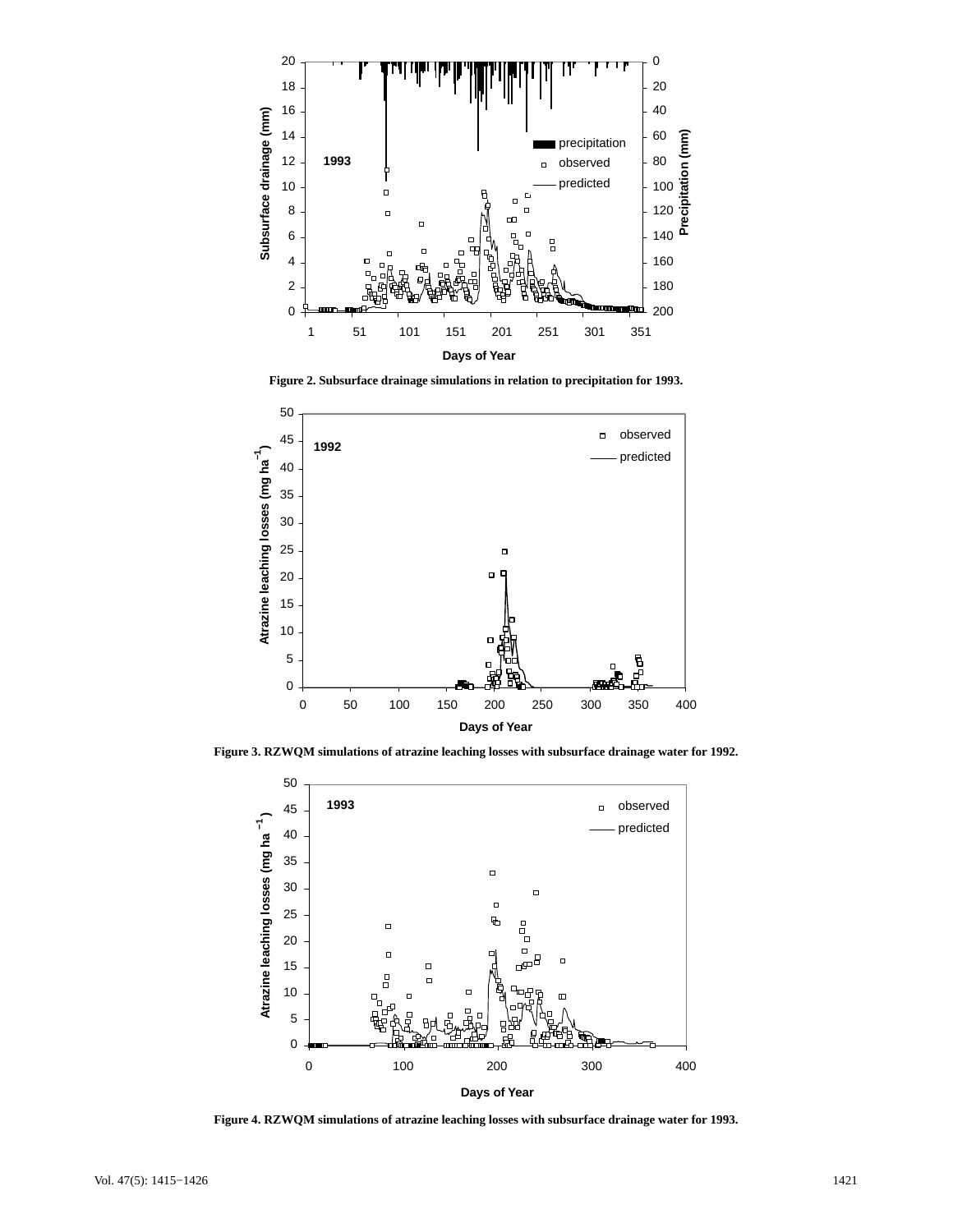

**Figure 2. Subsurface drainage simulations in relation to precipitation for 1993.**



**Figure 3. RZWQM simulations of atrazine leaching losses with subsurface drainage water for 1992.**



**Figure 4. RZWQM simulations of atrazine leaching losses with subsurface drainage water for 1993.**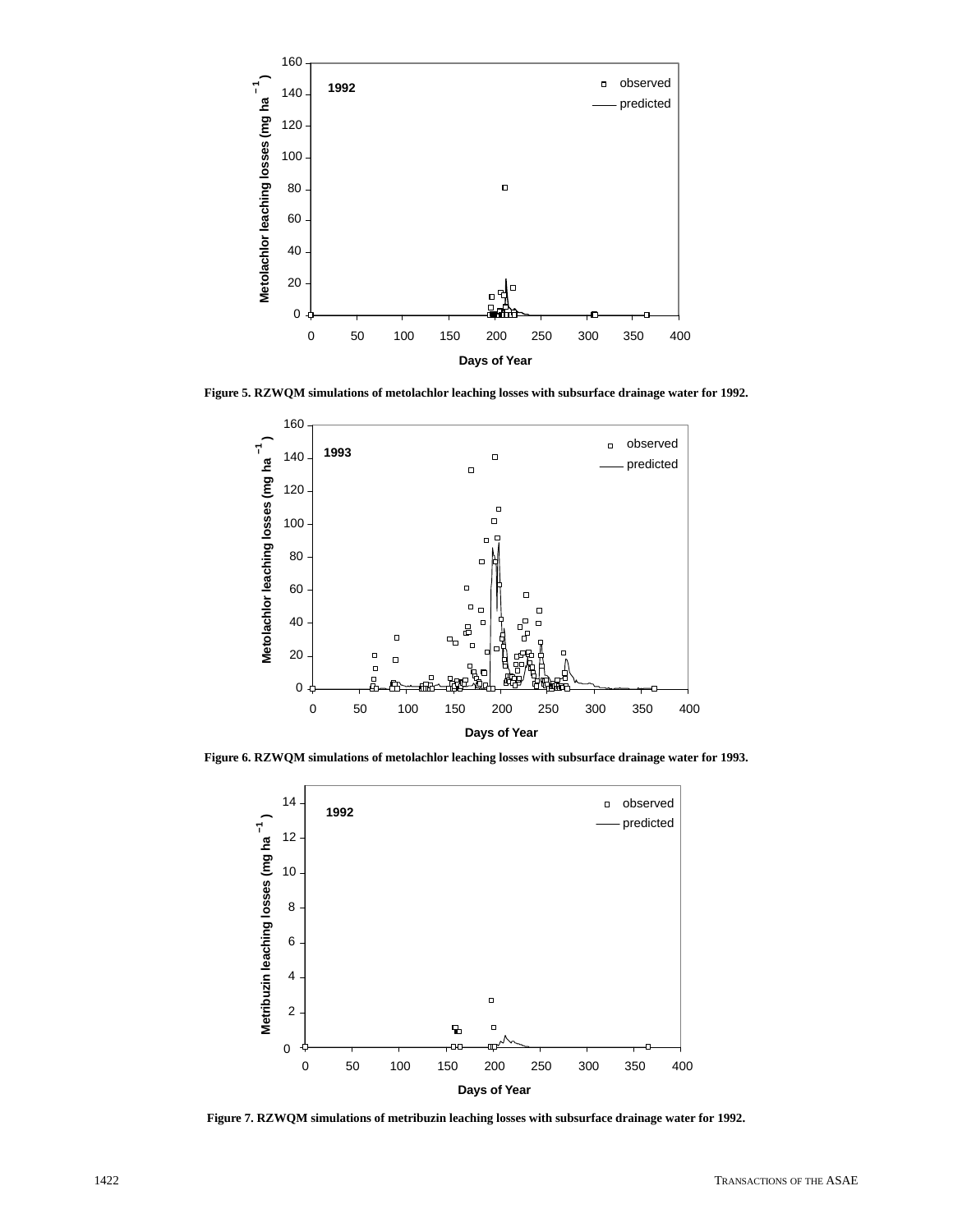

**Figure 5. RZWQM simulations of metolachlor leaching losses with subsurface drainage water for 1992.**



**Figure 6. RZWQM simulations of metolachlor leaching losses with subsurface drainage water for 1993.**



**Figure 7. RZWQM simulations of metribuzin leaching losses with subsurface drainage water for 1992.**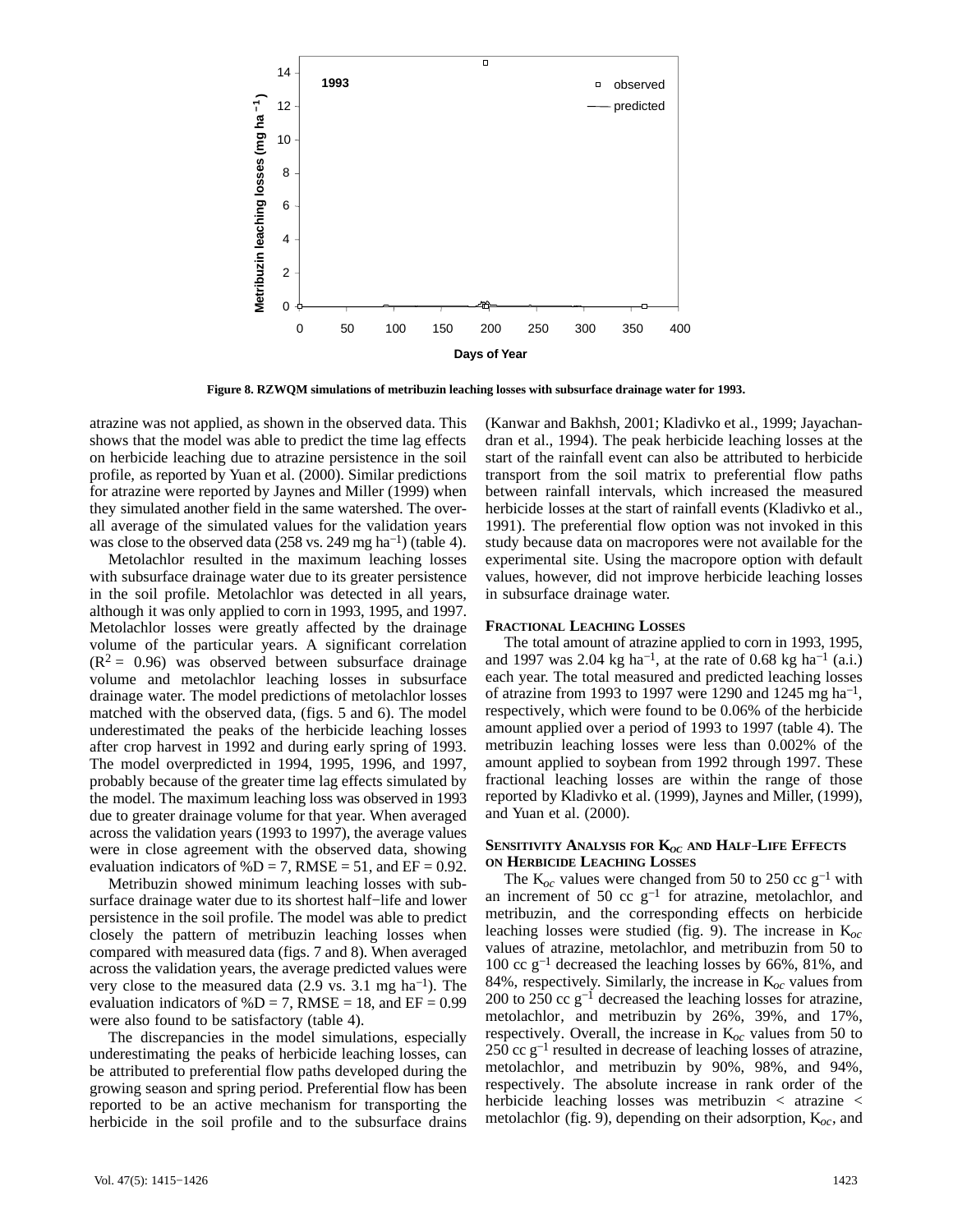

**Figure 8. RZWQM simulations of metribuzin leaching losses with subsurface drainage water for 1993.**

atrazine was not applied, as shown in the observed data. This shows that the model was able to predict the time lag effects on herbicide leaching due to atrazine persistence in the soil profile, as reported by Yuan et al. (2000). Similar predictions for atrazine were reported by Jaynes and Miller (1999) when they simulated another field in the same watershed. The overall average of the simulated values for the validation years was close to the observed data (258 vs. 249 mg ha<sup>-1</sup>) (table 4).

Metolachlor resulted in the maximum leaching losses with subsurface drainage water due to its greater persistence in the soil profile. Metolachlor was detected in all years, although it was only applied to corn in 1993, 1995, and 1997. Metolachlor losses were greatly affected by the drainage volume of the particular years. A significant correlation  $(R<sup>2</sup> = 0.96)$  was observed between subsurface drainage volume and metolachlor leaching losses in subsurface drainage water. The model predictions of metolachlor losses matched with the observed data, (figs. 5 and 6). The model underestimated the peaks of the herbicide leaching losses after crop harvest in 1992 and during early spring of 1993. The model overpredicted in 1994, 1995, 1996, and 1997, probably because of the greater time lag effects simulated by the model. The maximum leaching loss was observed in 1993 due to greater drainage volume for that year. When averaged across the validation years (1993 to 1997), the average values were in close agreement with the observed data, showing evaluation indicators of  $\%D = 7$ , RMSE = 51, and EF = 0.92.

Metribuzin showed minimum leaching losses with subsurface drainage water due to its shortest half−life and lower persistence in the soil profile. The model was able to predict closely the pattern of metribuzin leaching losses when compared with measured data (figs. 7 and 8). When averaged across the validation years, the average predicted values were very close to the measured data (2.9 vs. 3.1 mg ha−1). The evaluation indicators of  $\%D = 7$ , RMSE = 18, and EF = 0.99 were also found to be satisfactory (table 4).

The discrepancies in the model simulations, especially underestimating the peaks of herbicide leaching losses, can be attributed to preferential flow paths developed during the growing season and spring period. Preferential flow has been reported to be an active mechanism for transporting the herbicide in the soil profile and to the subsurface drains (Kanwar and Bakhsh, 2001; Kladivko et al., 1999; Jayachandran et al., 1994). The peak herbicide leaching losses at the start of the rainfall event can also be attributed to herbicide transport from the soil matrix to preferential flow paths between rainfall intervals, which increased the measured herbicide losses at the start of rainfall events (Kladivko et al., 1991). The preferential flow option was not invoked in this study because data on macropores were not available for the experimental site. Using the macropore option with default values, however, did not improve herbicide leaching losses in subsurface drainage water.

#### **FRACTIONAL LEACHING LOSSES**

The total amount of atrazine applied to corn in 1993, 1995, and 1997 was 2.04 kg ha<sup>-1</sup>, at the rate of 0.68 kg ha<sup>-1</sup> (a.i.) each year. The total measured and predicted leaching losses of atrazine from 1993 to 1997 were 1290 and 1245 mg ha<sup>-1</sup>, respectively, which were found to be 0.06% of the herbicide amount applied over a period of 1993 to 1997 (table 4). The metribuzin leaching losses were less than 0.002% of the amount applied to soybean from 1992 through 1997. These fractional leaching losses are within the range of those reported by Kladivko et al. (1999), Jaynes and Miller, (1999), and Yuan et al. (2000).

#### **SENSITIVITY ANALYSIS FOR K***OC* **AND HALF−LIFE EFFECTS ON HERBICIDE LEACHING LOSSES**

The  $K_{oc}$  values were changed from 50 to 250 cc g<sup>-1</sup> with an increment of 50 cc  $g^{-1}$  for atrazine, metolachlor, and metribuzin, and the corresponding effects on herbicide leaching losses were studied (fig. 9). The increase in K*oc* values of atrazine, metolachlor, and metribuzin from 50 to 100 cc g−1 decreased the leaching losses by 66%, 81%, and 84%, respectively. Similarly, the increase in K*oc* values from 200 to 250 cc  $g^{-1}$  decreased the leaching losses for atrazine, metolachlor, and metribuzin by 26%, 39%, and 17%, respectively. Overall, the increase in  $K_{oc}$  values from 50 to 250 cc g<sup>-1</sup> resulted in decrease of leaching losses of atrazine, metolachlor, and metribuzin by 90%, 98%, and 94%, respectively. The absolute increase in rank order of the herbicide leaching losses was metribuzin < atrazine < metolachlor (fig. 9), depending on their adsorption, K*oc*, and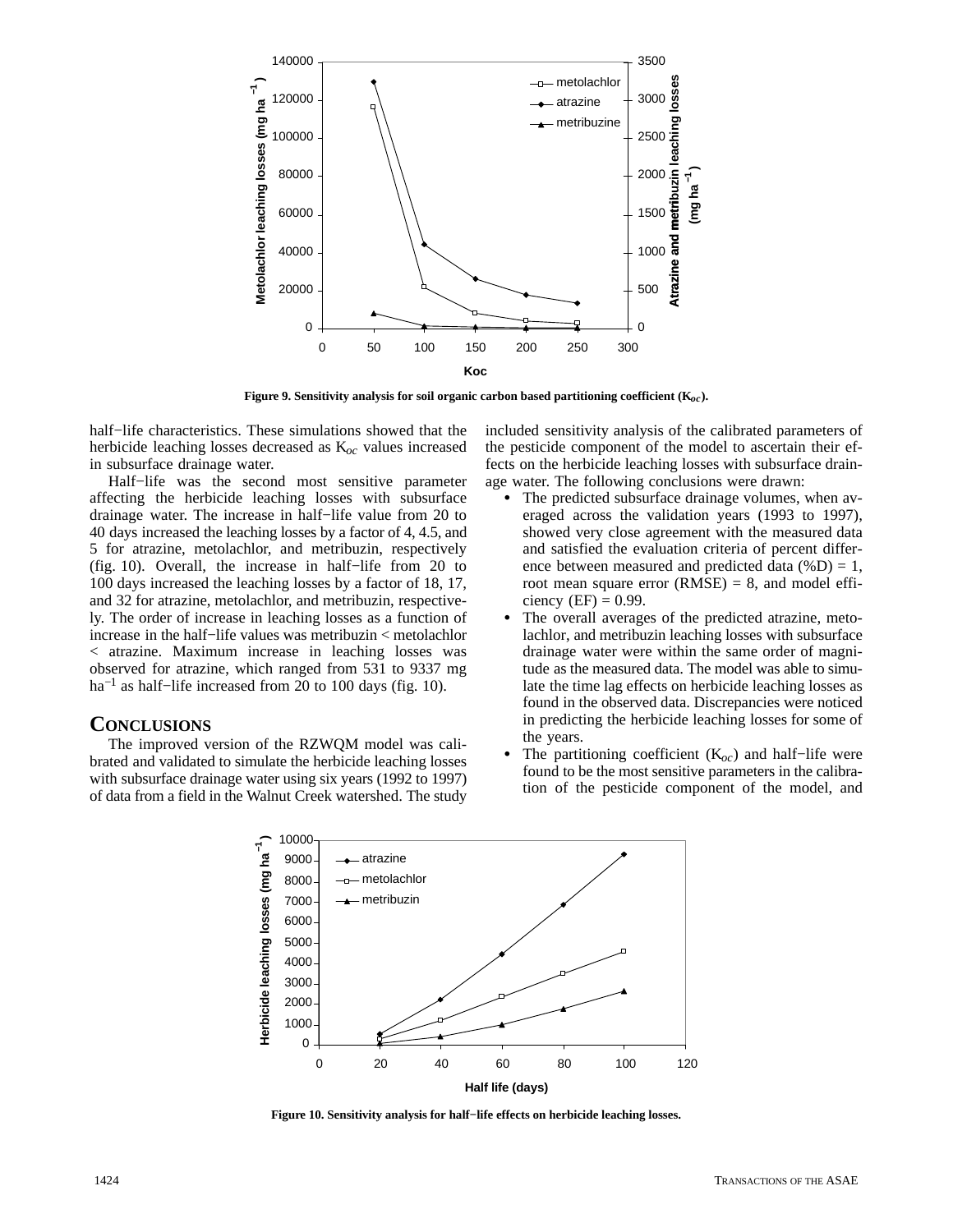

**Figure 9. Sensitivity analysis for soil organic carbon based partitioning coefficient (K***oc***).**

half−life characteristics. These simulations showed that the herbicide leaching losses decreased as K*oc* values increased in subsurface drainage water.

Half−life was the second most sensitive parameter affecting the herbicide leaching losses with subsurface drainage water. The increase in half−life value from 20 to 40 days increased the leaching losses by a factor of 4, 4.5, and 5 for atrazine, metolachlor, and metribuzin, respectively (fig. 10). Overall, the increase in half−life from 20 to 100 days increased the leaching losses by a factor of 18, 17, and 32 for atrazine, metolachlor, and metribuzin, respectively. The order of increase in leaching losses as a function of increase in the half−life values was metribuzin < metolachlor < atrazine. Maximum increase in leaching losses was observed for atrazine, which ranged from 531 to 9337 mg ha<sup>-1</sup> as half-life increased from 20 to 100 days (fig. 10).

#### **CONCLUSIONS**

The improved version of the RZWQM model was calibrated and validated to simulate the herbicide leaching losses with subsurface drainage water using six years (1992 to 1997) of data from a field in the Walnut Creek watershed. The study included sensitivity analysis of the calibrated parameters of the pesticide component of the model to ascertain their effects on the herbicide leaching losses with subsurface drainage water. The following conclusions were drawn:

- The predicted subsurface drainage volumes, when averaged across the validation years (1993 to 1997), showed very close agreement with the measured data and satisfied the evaluation criteria of percent difference between measured and predicted data  $(\%D) = 1$ , root mean square error  $(RMSE) = 8$ , and model efficiency (EF) =  $0.99$ .
- The overall averages of the predicted atrazine, metolachlor, and metribuzin leaching losses with subsurface drainage water were within the same order of magnitude as the measured data. The model was able to simulate the time lag effects on herbicide leaching losses as found in the observed data. Discrepancies were noticed in predicting the herbicide leaching losses for some of the years.
- The partitioning coefficient (K*oc*) and half−life were found to be the most sensitive parameters in the calibration of the pesticide component of the model, and



**Figure 10. Sensitivity analysis for half−life effects on herbicide leaching losses.**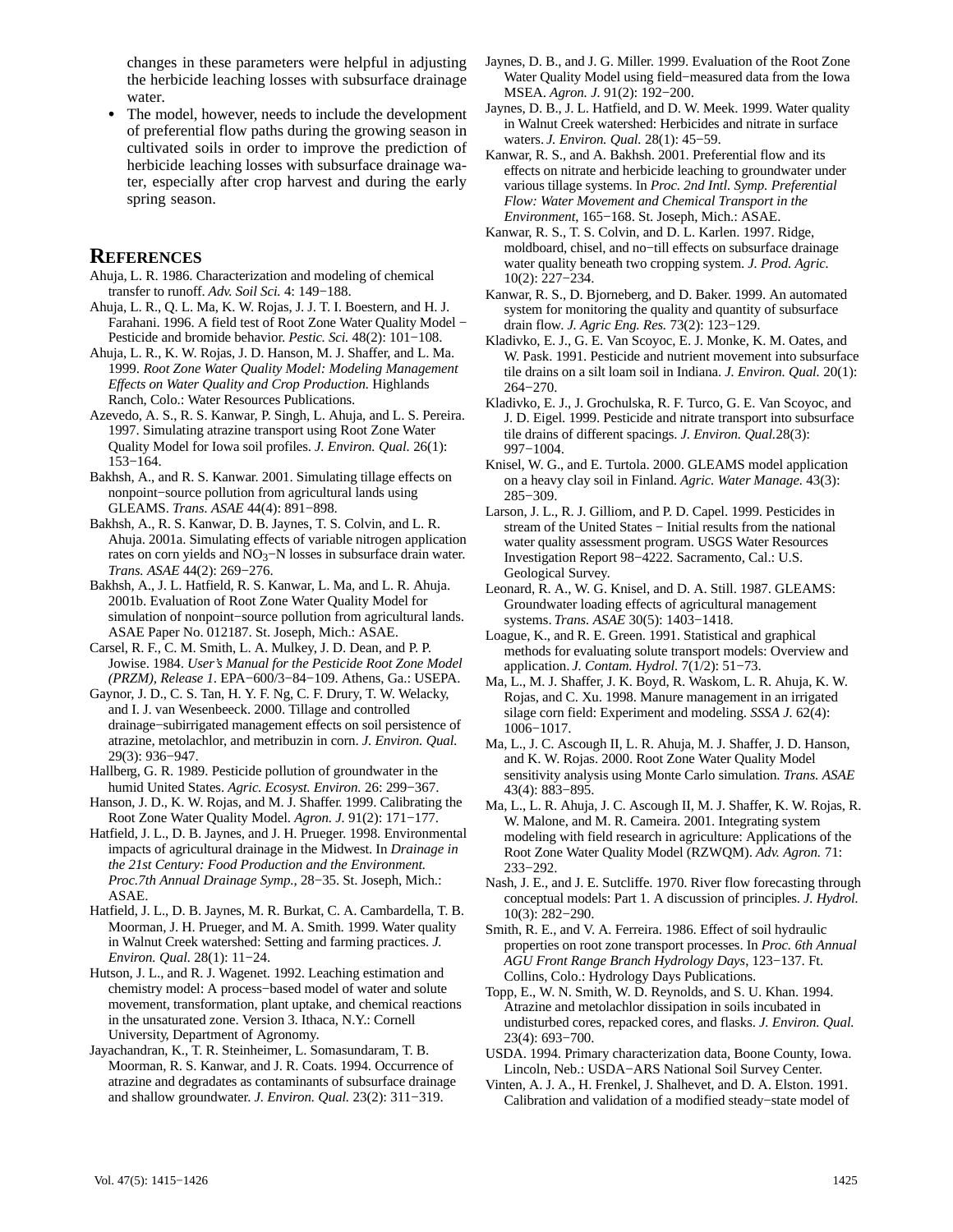changes in these parameters were helpful in adjusting the herbicide leaching losses with subsurface drainage water.

 The model, however, needs to include the development of preferential flow paths during the growing season in cultivated soils in order to improve the prediction of herbicide leaching losses with subsurface drainage water, especially after crop harvest and during the early spring season.

### **REFERENCES**

Ahuja, L. R. 1986. Characterization and modeling of chemical transfer to runoff. *Adv. Soil Sci.* 4: 149−188.

Ahuja, L. R., Q. L. Ma, K. W. Rojas, J. J. T. I. Boestern, and H. J. Farahani. 1996. A field test of Root Zone Water Quality Model − Pesticide and bromide behavior. *Pestic. Sci.* 48(2): 101−108.

Ahuja, L. R., K. W. Rojas, J. D. Hanson, M. J. Shaffer, and L. Ma. 1999. *Root Zone Water Quality Model: Modeling Management Effects on Water Quality and Crop Production.* Highlands Ranch, Colo.: Water Resources Publications.

Azevedo, A. S., R. S. Kanwar, P. Singh, L. Ahuja, and L. S. Pereira. 1997. Simulating atrazine transport using Root Zone Water Quality Model for Iowa soil profiles. *J. Environ. Qual.* 26(1): 153−164.

Bakhsh, A., and R. S. Kanwar. 2001. Simulating tillage effects on nonpoint−source pollution from agricultural lands using GLEAMS. *Trans. ASAE* 44(4): 891−898.

Bakhsh, A., R. S. Kanwar, D. B. Jaynes, T. S. Colvin, and L. R. Ahuja. 2001a. Simulating effects of variable nitrogen application rates on corn yields and NO3−N losses in subsurface drain water. *Trans. ASAE* 44(2): 269−276.

Bakhsh, A., J. L. Hatfield, R. S. Kanwar, L. Ma, and L. R. Ahuja. 2001b. Evaluation of Root Zone Water Quality Model for simulation of nonpoint−source pollution from agricultural lands. ASAE Paper No. 012187. St. Joseph, Mich.: ASAE.

Carsel, R. F., C. M. Smith, L. A. Mulkey, J. D. Dean, and P. P. Jowise. 1984. *User's Manual for the Pesticide Root Zone Model (PRZM), Release 1*. EPA−600/3−84−109. Athens, Ga.: USEPA.

Gaynor, J. D., C. S. Tan, H. Y. F. Ng, C. F. Drury, T. W. Welacky, and I. J. van Wesenbeeck. 2000. Tillage and controlled drainage−subirrigated management effects on soil persistence of atrazine, metolachlor, and metribuzin in corn. *J. Environ. Qual.* 29(3): 936−947.

Hallberg, G. R. 1989. Pesticide pollution of groundwater in the humid United States. *Agric. Ecosyst. Environ.* 26: 299−367.

Hanson, J. D., K. W. Rojas, and M. J. Shaffer. 1999. Calibrating the Root Zone Water Quality Model. *Agron. J.* 91(2): 171−177.

Hatfield, J. L., D. B. Jaynes, and J. H. Prueger. 1998. Environmental impacts of agricultural drainage in the Midwest. In *Drainage in the 21st Century: Food Production and the Environment. Proc.7th Annual Drainage Symp.*, 28−35. St. Joseph, Mich.: ASAE.

Hatfield, J. L., D. B. Jaynes, M. R. Burkat, C. A. Cambardella, T. B. Moorman, J. H. Prueger, and M. A. Smith. 1999. Water quality in Walnut Creek watershed: Setting and farming practices. *J. Environ. Qual.* 28(1): 11−24.

Hutson, J. L., and R. J. Wagenet. 1992. Leaching estimation and chemistry model: A process−based model of water and solute movement, transformation, plant uptake, and chemical reactions in the unsaturated zone. Version 3. Ithaca, N.Y.: Cornell University, Department of Agronomy.

Jayachandran, K., T. R. Steinheimer, L. Somasundaram, T. B. Moorman, R. S. Kanwar, and J. R. Coats. 1994. Occurrence of atrazine and degradates as contaminants of subsurface drainage and shallow groundwater. *J. Environ. Qual.* 23(2): 311−319.

Jaynes, D. B., and J. G. Miller. 1999. Evaluation of the Root Zone Water Quality Model using field−measured data from the Iowa MSEA. *Agron. J.* 91(2): 192−200.

Jaynes, D. B., J. L. Hatfield, and D. W. Meek. 1999. Water quality in Walnut Creek watershed: Herbicides and nitrate in surface waters. *J. Environ. Qual.* 28(1): 45−59.

Kanwar, R. S., and A. Bakhsh. 2001. Preferential flow and its effects on nitrate and herbicide leaching to groundwater under various tillage systems. In *Proc. 2nd Intl. Symp. Preferential Flow: Water Movement and Chemical Transport in the Environment*, 165−168. St. Joseph, Mich.: ASAE.

Kanwar, R. S., T. S. Colvin, and D. L. Karlen. 1997. Ridge, moldboard, chisel, and no−till effects on subsurface drainage water quality beneath two cropping system. *J. Prod. Agric.* 10(2): 227−234.

Kanwar, R. S., D. Bjorneberg, and D. Baker. 1999. An automated system for monitoring the quality and quantity of subsurface drain flow. *J. Agric Eng. Res.* 73(2): 123−129.

Kladivko, E. J., G. E. Van Scoyoc, E. J. Monke, K. M. Oates, and W. Pask. 1991. Pesticide and nutrient movement into subsurface tile drains on a silt loam soil in Indiana. *J. Environ. Qual.* 20(1): 264−270.

Kladivko, E. J., J. Grochulska, R. F. Turco, G. E. Van Scoyoc, and J. D. Eigel. 1999. Pesticide and nitrate transport into subsurface tile drains of different spacings. *J. Environ. Qual.*28(3): 997−1004.

Knisel, W. G., and E. Turtola. 2000. GLEAMS model application on a heavy clay soil in Finland. *Agric. Water Manage.* 43(3): 285−309.

Larson, J. L., R. J. Gilliom, and P. D. Capel. 1999. Pesticides in stream of the United States − Initial results from the national water quality assessment program. USGS Water Resources Investigation Report 98−4222. Sacramento, Cal.: U.S. Geological Survey.

Leonard, R. A., W. G. Knisel, and D. A. Still. 1987. GLEAMS: Groundwater loading effects of agricultural management systems. *Trans. ASAE* 30(5): 1403−1418.

Loague, K., and R. E. Green. 1991. Statistical and graphical methods for evaluating solute transport models: Overview and application. *J. Contam. Hydrol.* 7(1/2): 51−73.

Ma, L., M. J. Shaffer, J. K. Boyd, R. Waskom, L. R. Ahuja, K. W. Rojas, and C. Xu. 1998. Manure management in an irrigated silage corn field: Experiment and modeling. *SSSA J.* 62(4): 1006−1017.

Ma, L., J. C. Ascough II, L. R. Ahuja, M. J. Shaffer, J. D. Hanson, and K. W. Rojas. 2000. Root Zone Water Quality Model sensitivity analysis using Monte Carlo simulation. *Trans. ASAE* 43(4): 883−895.

Ma, L., L. R. Ahuja, J. C. Ascough II, M. J. Shaffer, K. W. Rojas, R. W. Malone, and M. R. Cameira. 2001. Integrating system modeling with field research in agriculture: Applications of the Root Zone Water Quality Model (RZWQM). *Adv. Agron.* 71: 233−292.

Nash, J. E., and J. E. Sutcliffe. 1970. River flow forecasting through conceptual models: Part 1. A discussion of principles. *J. Hydrol.* 10(3): 282−290.

Smith, R. E., and V. A. Ferreira. 1986. Effect of soil hydraulic properties on root zone transport processes. In *Proc. 6th Annual AGU Front Range Branch Hydrology Days*, 123−137. Ft. Collins, Colo.: Hydrology Days Publications.

Topp, E., W. N. Smith, W. D. Reynolds, and S. U. Khan. 1994. Atrazine and metolachlor dissipation in soils incubated in undisturbed cores, repacked cores, and flasks. *J. Environ. Qual.* 23(4): 693−700.

USDA. 1994. Primary characterization data, Boone County, Iowa. Lincoln, Neb.: USDA−ARS National Soil Survey Center.

Vinten, A. J. A., H. Frenkel, J. Shalhevet, and D. A. Elston. 1991. Calibration and validation of a modified steady−state model of